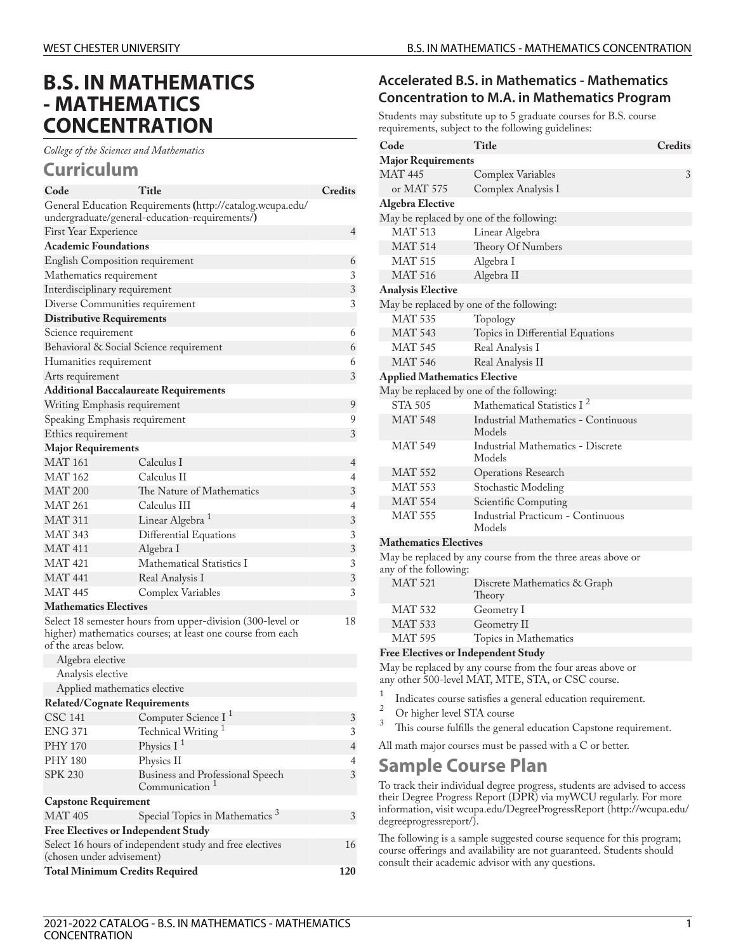# **B.S. IN MATHEMATICS - MATHEMATICS CONCENTRATION**

*College of the Sciences and Mathematics*

### **Curriculum**

| General Education Requirements (http://catalog.wcupa.edu/<br>undergraduate/general-education-requirements/)<br>4<br>First Year Experience<br><b>Academic Foundations</b><br>English Composition requirement<br>6 |  |  |  |  |
|------------------------------------------------------------------------------------------------------------------------------------------------------------------------------------------------------------------|--|--|--|--|
|                                                                                                                                                                                                                  |  |  |  |  |
|                                                                                                                                                                                                                  |  |  |  |  |
|                                                                                                                                                                                                                  |  |  |  |  |
|                                                                                                                                                                                                                  |  |  |  |  |
|                                                                                                                                                                                                                  |  |  |  |  |
| 3<br>Mathematics requirement                                                                                                                                                                                     |  |  |  |  |
| $\sqrt{3}$<br>Interdisciplinary requirement                                                                                                                                                                      |  |  |  |  |
| 3<br>Diverse Communities requirement                                                                                                                                                                             |  |  |  |  |
| <b>Distributive Requirements</b>                                                                                                                                                                                 |  |  |  |  |
| Science requirement<br>6                                                                                                                                                                                         |  |  |  |  |
| Behavioral & Social Science requirement<br>6                                                                                                                                                                     |  |  |  |  |
| Humanities requirement<br>6                                                                                                                                                                                      |  |  |  |  |
| 3<br>Arts requirement                                                                                                                                                                                            |  |  |  |  |
| <b>Additional Baccalaureate Requirements</b>                                                                                                                                                                     |  |  |  |  |
| 9<br>Writing Emphasis requirement                                                                                                                                                                                |  |  |  |  |
| 9<br>Speaking Emphasis requirement                                                                                                                                                                               |  |  |  |  |
| 3<br>Ethics requirement                                                                                                                                                                                          |  |  |  |  |
| <b>Major Requirements</b>                                                                                                                                                                                        |  |  |  |  |
| <b>MAT 161</b><br>Calculus I<br>4                                                                                                                                                                                |  |  |  |  |
| <b>MAT 162</b><br>Calculus II<br>4                                                                                                                                                                               |  |  |  |  |
| <b>MAT 200</b><br>3<br>The Nature of Mathematics                                                                                                                                                                 |  |  |  |  |
| <b>MAT 261</b><br>Calculus III<br>4                                                                                                                                                                              |  |  |  |  |
| <b>MAT 311</b><br>Linear Algebra <sup>1</sup><br>3                                                                                                                                                               |  |  |  |  |
| <b>MAT 343</b><br>3<br>Differential Equations                                                                                                                                                                    |  |  |  |  |
| <b>MAT 411</b><br>3<br>Algebra 1                                                                                                                                                                                 |  |  |  |  |
| <b>MAT 421</b><br>Mathematical Statistics I<br>3                                                                                                                                                                 |  |  |  |  |
| <b>MAT 441</b><br>3<br>Real Analysis I                                                                                                                                                                           |  |  |  |  |
| MAT 445<br>3<br>Complex Variables                                                                                                                                                                                |  |  |  |  |
| <b>Mathematics Electives</b>                                                                                                                                                                                     |  |  |  |  |
| Select 18 semester hours from upper-division (300-level or<br>18<br>higher) mathematics courses; at least one course from each<br>of the areas below.                                                            |  |  |  |  |
| Algebra elective                                                                                                                                                                                                 |  |  |  |  |
| Analysis elective                                                                                                                                                                                                |  |  |  |  |
| Applied mathematics elective                                                                                                                                                                                     |  |  |  |  |
| <b>Related/Cognate Requirements</b>                                                                                                                                                                              |  |  |  |  |
| CSC 141 Computer Science I <sup>1</sup><br>3                                                                                                                                                                     |  |  |  |  |
| Technical Writing <sup>1</sup><br>$\ensuremath{\mathfrak{Z}}$<br><b>ENG 371</b>                                                                                                                                  |  |  |  |  |
| Physics $I1$<br><b>PHY 170</b><br>$\overline{4}$                                                                                                                                                                 |  |  |  |  |
| <b>PHY 180</b><br>Physics II<br>4                                                                                                                                                                                |  |  |  |  |
| <b>SPK 230</b><br>3<br>Business and Professional Speech<br>Communication <sup>1</sup>                                                                                                                            |  |  |  |  |
| <b>Capstone Requirement</b>                                                                                                                                                                                      |  |  |  |  |
| Special Topics in Mathematics <sup>3</sup><br><b>MAT 405</b><br>3                                                                                                                                                |  |  |  |  |
| <b>Free Electives or Independent Study</b>                                                                                                                                                                       |  |  |  |  |
| Select 16 hours of independent study and free electives<br>16<br>(chosen under advisement)                                                                                                                       |  |  |  |  |
| <b>Total Minimum Credits Required</b><br>120                                                                                                                                                                     |  |  |  |  |

### **Accelerated B.S. in Mathematics - Mathematics Concentration to M.A. in Mathematics Program**

Students may substitute up to 5 graduate courses for B.S. course requirements, subject to the following guidelines:

| Code                                     | Title                                                       | <b>Credits</b> |  |  |
|------------------------------------------|-------------------------------------------------------------|----------------|--|--|
| <b>Major Requirements</b>                |                                                             |                |  |  |
| <b>MAT 445</b>                           | Complex Variables                                           | 3              |  |  |
| or MAT 575                               | Complex Analysis I                                          |                |  |  |
| <b>Algebra Elective</b>                  |                                                             |                |  |  |
| May be replaced by one of the following: |                                                             |                |  |  |
| <b>MAT 513</b>                           | Linear Algebra                                              |                |  |  |
| <b>MAT 514</b>                           | Theory Of Numbers                                           |                |  |  |
| <b>MAT 515</b>                           | Algebra I                                                   |                |  |  |
| <b>MAT 516</b>                           | Algebra II                                                  |                |  |  |
| <b>Analysis Elective</b>                 |                                                             |                |  |  |
|                                          | May be replaced by one of the following:                    |                |  |  |
| <b>MAT 535</b>                           | Topology                                                    |                |  |  |
| <b>MAT 543</b>                           | Topics in Differential Equations                            |                |  |  |
| <b>MAT 545</b>                           | Real Analysis I                                             |                |  |  |
| <b>MAT 546</b>                           | Real Analysis II                                            |                |  |  |
| <b>Applied Mathematics Elective</b>      |                                                             |                |  |  |
|                                          | May be replaced by one of the following:                    |                |  |  |
| STA 505                                  | Mathematical Statistics I <sup>2</sup>                      |                |  |  |
| <b>MAT 548</b>                           | Industrial Mathematics - Continuous<br>Models               |                |  |  |
| <b>MAT 549</b>                           | Industrial Mathematics - Discrete<br>Models                 |                |  |  |
| <b>MAT 552</b>                           | <b>Operations Research</b>                                  |                |  |  |
| <b>MAT 553</b>                           | Stochastic Modeling                                         |                |  |  |
| <b>MAT 554</b>                           | Scientific Computing                                        |                |  |  |
| <b>MAT 555</b>                           | <b>Industrial Practicum - Continuous</b><br>Models          |                |  |  |
| <b>Mathematics Electives</b>             |                                                             |                |  |  |
| any of the following:                    | May be replaced by any course from the three areas above or |                |  |  |
| <b>MAT 521</b>                           | Discrete Mathematics & Graph<br>Theory                      |                |  |  |
| <b>MAT 532</b>                           | Geometry I                                                  |                |  |  |
| <b>MAT 533</b>                           | Geometry II                                                 |                |  |  |
| <b>MAT 595</b>                           | Topics in Mathematics                                       |                |  |  |

#### **Free Electives or Independent Study**

May be replaced by any course from the four areas above or any other 500-level MAT, MTE, STA, or CSC course.

- 1 Indicates course satisfies a general education requirement.
- $\frac{2}{3}$  Or higher level STA course
- This course fulfills the general education Capstone requirement.
- All math major courses must be passed with a C or better.

## **Sample Course Plan**

To track their individual degree progress, students are advised to access their Degree Progress Report (DPR) via myWCU regularly. For more information, visit [wcupa.edu/DegreeProgressReport \(http://wcupa.edu/](http://wcupa.edu/degreeprogressreport/) [degreeprogressreport/](http://wcupa.edu/degreeprogressreport/)).

The following is a sample suggested course sequence for this program; course offerings and availability are not guaranteed. Students should consult their academic advisor with any questions.